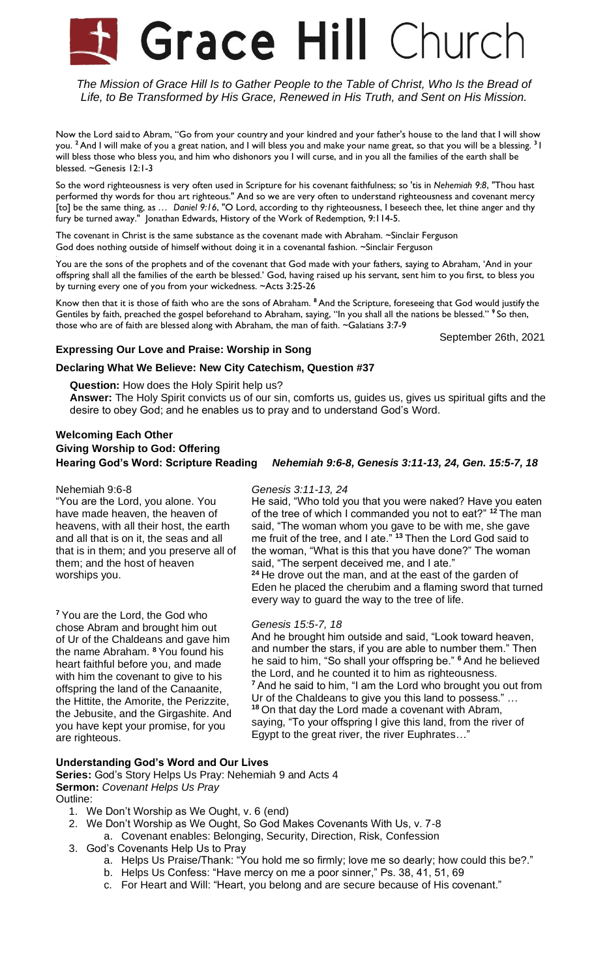# **Grace Hill Church**

*The Mission of Grace Hill Is to Gather People to the Table of Christ, Who Is the Bread of Life, to Be Transformed by His Grace, Renewed in His Truth, and Sent on His Mission.*

Now the Lord said to Abram, "Go from your country and your kindred and your father's house to the land that I will show you. **<sup>2</sup>** And I will make of you a great nation, and I will bless you and make your name great, so that you will be a blessing. **<sup>3</sup>** I will bless those who bless you, and him who dishonors you I will curse, and in you all the families of the earth shall be blessed. ~Genesis 12:1-3

So the word righteousness is very often used in Scripture for his covenant faithfulness; so 'tis in *Nehemiah 9:8*, "Thou hast performed thy words for thou art righteous." And so we are very often to understand righteousness and covenant mercy [to] be the same thing, as *… Daniel 9:16*, "O Lord, according to thy righteousness, I beseech thee, let thine anger and thy fury be turned away." Jonathan Edwards, History of the Work of Redemption, 9:114-5.

The covenant in Christ is the same substance as the covenant made with Abraham. ~Sinclair Ferguson God does nothing outside of himself without doing it in a covenantal fashion. ~Sinclair Ferguson

. You are the sons of the prophets and of the covenant that God made with your fathers, saying to Abraham, 'And in your offspring shall all the families of the earth be blessed.' God, having raised up his servant, sent him to you first, to bless you by turning every one of you from your wickedness. ~Acts 3:25-26

Know then that it is those of faith who are the sons of Abraham. **<sup>8</sup>** And the Scripture, foreseeing that God would justify the Gentiles by faith, preached the gospel beforehand to Abraham, saying, "In you shall all the nations be blessed." <sup>9</sup> So then, those who are of faith are blessed along with Abraham, the man of faith. ~Galatians 3:7-9

September 26th, 2021

# **Expressing Our Love and Praise: Worship in Song**

# **Declaring What We Believe: New City Catechism, Question #37**

**Question:** How does the Holy Spirit help us?

**Answer:** The Holy Spirit convicts us of our sin, comforts us, guides us, gives us spiritual gifts and the desire to obey God; and he enables us to pray and to understand God's Word.

#### **Welcoming Each Other Giving Worship to God: Offering Hearing God's Word: Scripture Reading** *Nehemiah 9:6-8, Genesis 3:11-13, 24, Gen. 15:5-7, 18*

#### Nehemiah 9:6-8

"You are the Lord, you alone. You have made heaven, the heaven of heavens, with all their host, the earth and all that is on it, the seas and all that is in them; and you preserve all of them; and the host of heaven worships you.

**<sup>7</sup>** You are the Lord, the God who chose Abram and brought him out of Ur of the Chaldeans and gave him the name Abraham. **<sup>8</sup>** You found his heart faithful before you, and made with him the covenant to give to his offspring the land of the Canaanite, the Hittite, the Amorite, the Perizzite, the Jebusite, and the Girgashite. And you have kept your promise, for you are righteous.

# *Genesis 3:11-13, 24*

He said, "Who told you that you were naked? Have you eaten of the tree of which I commanded you not to eat?" **<sup>12</sup>** The man said, "The woman whom you gave to be with me, she gave me fruit of the tree, and I ate." **<sup>13</sup>** Then the Lord God said to the woman, "What is this that you have done?" The woman said, "The serpent deceived me, and I ate." **<sup>24</sup>** He drove out the man, and at the east of the garden of Eden he placed the cherubim and a flaming sword that turned every way to guard the way to the tree of life.

#### *Genesis 15:5-7, 18*

And he brought him outside and said, "Look toward heaven, and number the stars, if you are able to number them." Then he said to him, "So shall your offspring be." **<sup>6</sup>** And he believed the Lord, and he counted it to him as righteousness. **<sup>7</sup>** And he said to him, "I am the Lord who brought you out from Ur of the Chaldeans to give you this land to possess." … **<sup>18</sup>** On that day the Lord made a covenant with Abram, saying, "To your offspring I give this land, from the river of Egypt to the great river, the river Euphrates…"

# **Understanding God's Word and Our Lives**

**Series:** God's Story Helps Us Pray: Nehemiah 9 and Acts 4 **Sermon:** *Covenant Helps Us Pray*

Outline:

- 1. We Don't Worship as We Ought, v. 6 (end)
- 2. We Don't Worship as We Ought, So God Makes Covenants With Us, v. 7-8
- a. Covenant enables: Belonging, Security, Direction, Risk, Confession
- 3. God's Covenants Help Us to Pray
	- a. Helps Us Praise/Thank: "You hold me so firmly; love me so dearly; how could this be?."
	- b. Helps Us Confess: "Have mercy on me a poor sinner," Ps. 38, 41, 51, 69
	- c. For Heart and Will: "Heart, you belong and are secure because of His covenant."